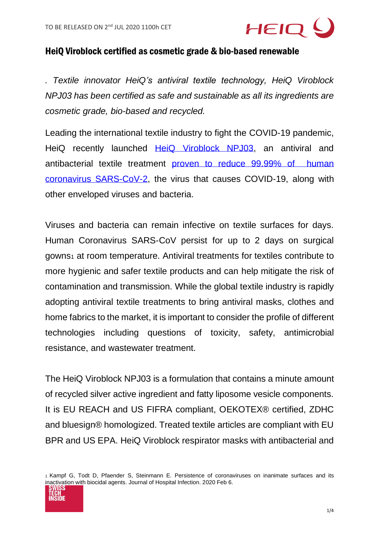

## HeiQ Viroblock certified as cosmetic grade & bio-based renewable

*. Textile innovator HeiQ's antiviral textile technology, HeiQ Viroblock NPJ03 has been certified as safe and sustainable as all its ingredients are cosmetic grade, bio-based and recycled.*

Leading the international textile industry to fight the COVID-19 pandemic, HeiQ recently launched [HeiQ Viroblock NPJ03,](https://heiq.com/technologies/heiq-viroblock/) an antiviral and antibacterial textile treatment [proven to reduce 99.99% of human](https://heiq.com/2020/06/05/heiq-viroblock-tested-successfully-against-virus-that-causes-covid-19/)  [coronavirus SARS-CoV-2,](https://heiq.com/2020/06/05/heiq-viroblock-tested-successfully-against-virus-that-causes-covid-19/) the virus that causes COVID-19, along with other enveloped viruses and bacteria.

Viruses and bacteria can remain infective on textile surfaces for days. Human Coronavirus SARS-CoV persist for up to 2 days on surgical gowns<sup>1</sup> at room temperature. Antiviral treatments for textiles contribute to more hygienic and safer textile products and can help mitigate the risk of contamination and transmission. While the global textile industry is rapidly adopting antiviral textile treatments to bring antiviral masks, clothes and home fabrics to the market, it is important to consider the profile of different technologies including questions of toxicity, safety, antimicrobial resistance, and wastewater treatment.

The HeiQ Viroblock NPJ03 is a formulation that contains a minute amount of recycled silver active ingredient and fatty liposome vesicle components. It is EU REACH and US FIFRA compliant, OEKOTEX® certified, ZDHC and bluesign® homologized. Treated textile articles are compliant with EU BPR and US EPA. HeiQ Viroblock respirator masks with antibacterial and

<sup>1</sup> Kampf G, Todt D, Pfaender S, Steinmann E. Persistence of coronaviruses on inanimate surfaces and its inactivation with biocidal agents. Journal of Hospital Infection. 2020 Feb 6.

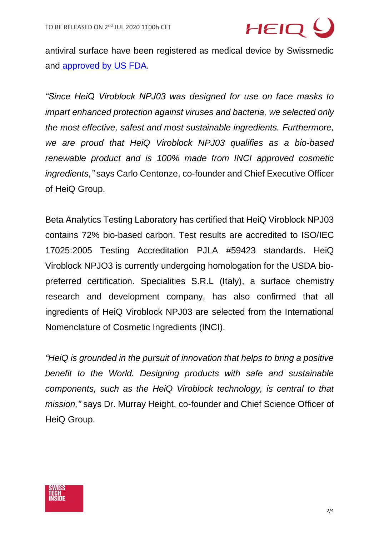

antiviral surface have been registered as medical device by Swissmedic and [approved by US FDA.](https://www.fda.gov/medical-devices/coronavirus-disease-2019-covid-19-emergency-use-authorizations-medical-devices/personal-protective-equipment-euas#appendixa)

*"Since HeiQ Viroblock NPJ03 was designed for use on face masks to impart enhanced protection against viruses and bacteria, we selected only the most effective, safest and most sustainable ingredients. Furthermore, we are proud that HeiQ Viroblock NPJ03 qualifies as a bio-based renewable product and is 100% made from INCI approved cosmetic ingredients,"* says Carlo Centonze, co-founder and Chief Executive Officer of HeiQ Group.

Beta Analytics Testing Laboratory has certified that HeiQ Viroblock NPJ03 contains 72% bio-based carbon. Test results are accredited to ISO/IEC 17025:2005 Testing Accreditation PJLA #59423 standards. HeiQ Viroblock NPJO3 is currently undergoing homologation for the USDA biopreferred certification. Specialities S.R.L (Italy), a surface chemistry research and development company, has also confirmed that all ingredients of HeiQ Viroblock NPJ03 are selected from the International Nomenclature of Cosmetic Ingredients (INCI).

*"HeiQ is grounded in the pursuit of innovation that helps to bring a positive benefit to the World. Designing products with safe and sustainable components, such as the HeiQ Viroblock technology, is central to that mission,"* says Dr. Murray Height, co-founder and Chief Science Officer of HeiQ Group.